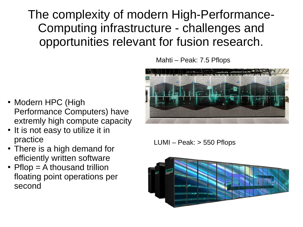The complexity of modern High-Performance-Computing infrastructure - challenges and opportunities relevant for fusion research.

- Modern HPC (High Performance Computers) have extremly high compute capacity
- It is not easy to utilize it in practice
- There is a high demand for efficiently written software
- Pflop  $=$  A thousand trillion floating point operations per second

Mahti – Peak: 7.5 Pflops



LUMI – Peak: > 550 Pflops

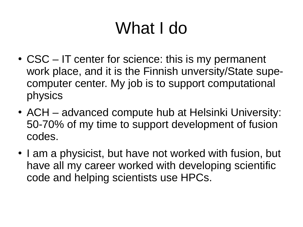## What I do

- $\cdot$  CSC IT center for science: this is my permanent work place, and it is the Finnish unversity/State supecomputer center. My job is to support computational physics
- ACH advanced compute hub at Helsinki University: 50-70% of my time to support development of fusion codes.
- I am a physicist, but have not worked with fusion, but have all my career worked with developing scientific code and helping scientists use HPCs.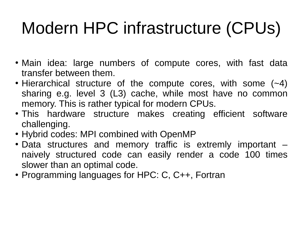# Modern HPC infrastructure (CPUs)

- Main idea: large numbers of compute cores, with fast data transfer between them.
- Hierarchical structure of the compute cores, with some  $(-4)$ sharing e.g. level 3 (L3) cache, while most have no common memory. This is rather typical for modern CPUs.
- This hardware structure makes creating efficient software challenging.
- Hybrid codes: MPI combined with OpenMP
- $\bullet$  Data structures and memory traffic is extremly important  $$ naively structured code can easily render a code 100 times slower than an optimal code.
- Programming languages for HPC: C, C++, Fortran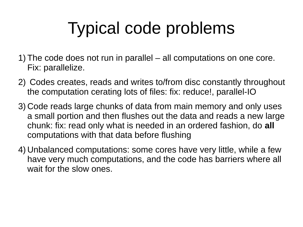## Typical code problems

- 1) The code does not run in parallel all computations on one core. Fix: parallelize.
- 2) Codes creates, reads and writes to/from disc constantly throughout the computation cerating lots of files: fix: reduce!, parallel-IO
- 3) Code reads large chunks of data from main memory and only uses a small portion and then flushes out the data and reads a new large chunk: fix: read only what is needed in an ordered fashion, do **all** computations with that data before flushing
- 4) Unbalanced computations: some cores have very little, while a few have very much computations, and the code has barriers where all wait for the slow ones.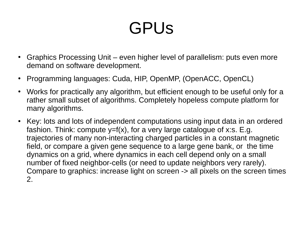### GPUs

- Graphics Processing Unit even higher level of parallelism: puts even more demand on software development.
- Programming languages: Cuda, HIP, OpenMP, (OpenACC, OpenCL)
- Works for practically any algorithm, but efficient enough to be useful only for a rather small subset of algorithms. Completely hopeless compute platform for many algorithms.
- Key: lots and lots of independent computations using input data in an ordered fashion. Think: compute  $y=f(x)$ , for a very large catalogue of x:s. E.g. trajectories of many non-interacting charged particles in a constant magnetic field, or compare a given gene sequence to a large gene bank, or the time dynamics on a grid, where dynamics in each cell depend only on a small number of fixed neighbor-cells (or need to update neighbors very rarely). Compare to graphics: increase light on screen -> all pixels on the screen times 2.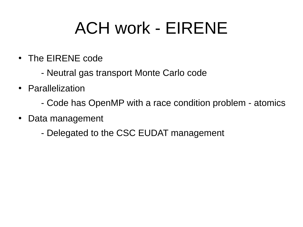### ACH work - EIRENE

- The EIRENE code
	- Neutral gas transport Monte Carlo code
- Parallelization
	- Code has OpenMP with a race condition problem atomics
- Data management
	- Delegated to the CSC EUDAT management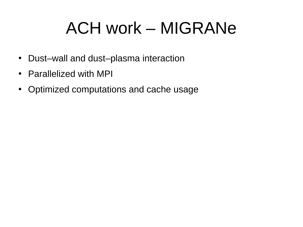### ACH work – MIGRANe

- Dust-wall and dust-plasma interaction
- Parallelized with MPI
- Optimized computations and cache usage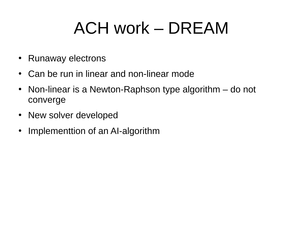### ACH work – DREAM

- Runaway electrons
- Can be run in linear and non-linear mode
- Non-linear is a Newton-Raphson type algorithm do not converge
- New solver developed
- Implementtion of an AI-algorithm